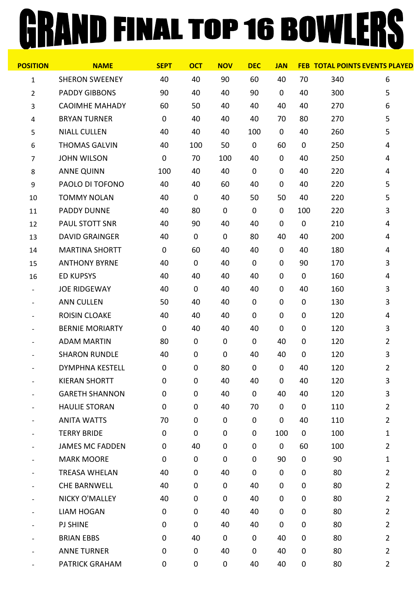## GRAND FINAL TOP 16 BOWLERS

| <b>NAME</b>            | <b>SEPT</b> | <b>OCT</b>  | <b>NOV</b> | <b>DEC</b>          | <b>JAN</b>  |             | <b>FEB TOTAL POINTS EVENTS PLAYED</b> |                |
|------------------------|-------------|-------------|------------|---------------------|-------------|-------------|---------------------------------------|----------------|
| <b>SHERON SWEENEY</b>  | 40          | 40          | 90         | 60                  | 40          | 70          | 340                                   | 6              |
| <b>PADDY GIBBONS</b>   | 90          | 40          | 40         | 90                  | 0           | 40          | 300                                   | 5              |
| <b>CAOIMHE MAHADY</b>  | 60          | 50          | 40         | 40                  | 40          | 40          | 270                                   | 6              |
| <b>BRYAN TURNER</b>    | $\mathbf 0$ | 40          | 40         | 40                  | 70          | 80          | 270                                   | 5              |
| <b>NIALL CULLEN</b>    | 40          | 40          | 40         | 100                 | $\pmb{0}$   | 40          | 260                                   | 5              |
| <b>THOMAS GALVIN</b>   | 40          | 100         | 50         | $\mathsf{O}\xspace$ | 60          | $\pmb{0}$   | 250                                   | 4              |
| <b>JOHN WILSON</b>     | $\mathbf 0$ | 70          | 100        | 40                  | 0           | 40          | 250                                   | 4              |
| <b>ANNE QUINN</b>      | 100         | 40          | 40         | 0                   | $\mathbf 0$ | 40          | 220                                   | 4              |
| PAOLO DI TOFONO        | 40          | 40          | 60         | 40                  | 0           | 40          | 220                                   | 5              |
| <b>TOMMY NOLAN</b>     | 40          | $\mathbf 0$ | 40         | 50                  | 50          | 40          | 220                                   | 5              |
| <b>PADDY DUNNE</b>     | 40          | 80          | 0          | 0                   | 0           | 100         | 220                                   | 3              |
| <b>PAUL STOTT SNR</b>  | 40          | 90          | 40         | 40                  | 0           | $\pmb{0}$   | 210                                   | 4              |
| <b>DAVID GRAINGER</b>  | 40          | $\mathbf 0$ | 0          | 80                  | 40          | 40          | 200                                   | 4              |
| <b>MARTINA SHORTT</b>  | $\mathbf 0$ | 60          | 40         | 40                  | 0           | 40          | 180                                   | 4              |
| <b>ANTHONY BYRNE</b>   | 40          | $\mathbf 0$ | 40         | 0                   | $\mathbf 0$ | 90          | 170                                   | 3              |
| <b>ED KUPSYS</b>       | 40          | 40          | 40         | 40                  | 0           | $\pmb{0}$   | 160                                   | 4              |
| <b>JOE RIDGEWAY</b>    | 40          | 0           | 40         | 40                  | $\mathbf 0$ | 40          | 160                                   | 3              |
| <b>ANN CULLEN</b>      | 50          | 40          | 40         | 0                   | 0           | $\pmb{0}$   | 130                                   | 3              |
| <b>ROISIN CLOAKE</b>   | 40          | 40          | 40         | 0                   | $\mathbf 0$ | $\pmb{0}$   | 120                                   | 4              |
| <b>BERNIE MORIARTY</b> | $\mathbf 0$ | 40          | 40         | 40                  | 0           | $\pmb{0}$   | 120                                   | 3              |
| <b>ADAM MARTIN</b>     | 80          | $\mathbf 0$ | 0          | 0                   | 40          | $\pmb{0}$   | 120                                   | $\overline{2}$ |
| <b>SHARON RUNDLE</b>   | 40          | 0           | 0          | 40                  | 40          | $\pmb{0}$   | 120                                   | 3              |
| <b>DYMPHNA KESTELL</b> | $\pmb{0}$   | $\pmb{0}$   | 80         | $\pmb{0}$           | $\pmb{0}$   | 40          | 120                                   | $\overline{2}$ |
| <b>KIERAN SHORTT</b>   | 0           | 0           | 40         | 40                  | $\pmb{0}$   | 40          | 120                                   | 3              |
| <b>GARETH SHANNON</b>  | $\pmb{0}$   | 0           | 40         | 0                   | 40          | 40          | 120                                   | 3              |
| <b>HAULIE STORAN</b>   | $\mathbf 0$ | 0           | 40         | 70                  | 0           | $\pmb{0}$   | 110                                   | $\overline{2}$ |
| <b>ANITA WATTS</b>     | 70          | 0           | 0          | 0                   | $\pmb{0}$   | 40          | 110                                   | $\overline{2}$ |
| <b>TERRY BRIDE</b>     | $\mathbf 0$ | $\mathbf 0$ | 0          | 0                   | 100         | $\mathbf 0$ | 100                                   | 1              |
| <b>JAMES MC FADDEN</b> | $\mathbf 0$ | 40          | 0          | 0                   | $\mathbf 0$ | 60          | 100                                   | $\overline{2}$ |
| <b>MARK MOORE</b>      | 0           | $\mathbf 0$ | 0          | 0                   | 90          | $\pmb{0}$   | 90                                    | $\mathbf{1}$   |
| <b>TREASA WHELAN</b>   | 40          | 0           | 40         | 0                   | $\pmb{0}$   | $\pmb{0}$   | 80                                    | $\overline{2}$ |
| <b>CHE BARNWELL</b>    | 40          | 0           | 0          | 40                  | $\mathbf 0$ | $\pmb{0}$   | 80                                    | $\overline{2}$ |
| NICKY O'MALLEY         | 40          | 0           | $\pmb{0}$  | 40                  | $\mathbf 0$ | $\pmb{0}$   | 80                                    | $\overline{2}$ |
| <b>LIAM HOGAN</b>      | $\mathbf 0$ | 0           | 40         | 40                  | $\mathbf 0$ | $\pmb{0}$   | 80                                    | $\overline{2}$ |
| <b>PJ SHINE</b>        | 0           | 0           | 40         | 40                  | 0           | $\pmb{0}$   | 80                                    | $\overline{2}$ |
| <b>BRIAN EBBS</b>      | $\mathbf 0$ | 40          | 0          | 0                   | 40          | $\pmb{0}$   | 80                                    | $\overline{2}$ |
| <b>ANNE TURNER</b>     | $\mathbf 0$ | $\mathbf 0$ | 40         | 0                   | 40          | $\pmb{0}$   | 80                                    | $\overline{2}$ |
| <b>PATRICK GRAHAM</b>  | 0           | 0           | 0          | 40                  | 40          | 0           | 80                                    | $\overline{2}$ |
|                        |             |             |            |                     |             |             |                                       |                |